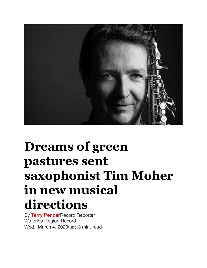

## **Dreams of green pastures sent saxophonist Tim Moher in new musical directions**

By **[Terry Pender](https://www.therecord.com/authors.pender_terry.html)**Record Reporter Waterloo Region Record Wed., March 4, 2020timer3 min. read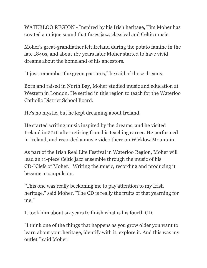WATERLOO REGION - Inspired by his Irish heritage, Tim Moher has created a unique sound that fuses jazz, classical and Celtic music.

Moher's great-grandfather left Ireland during the potato famine in the late 1840s, and about 167 years later Moher started to have vivid dreams about the homeland of his ancestors.

"I just remember the green pastures," he said of those dreams.

Born and raised in North Bay, Moher studied music and education at Western in London. He settled in this region to teach for the Waterloo Catholic District School Board.

He's no mystic, but he kept dreaming about Ireland.

He started writing music inspired by the dreams, and he visited Ireland in 2016 after retiring from his teaching career. He performed in Ireland, and recorded a music video there on [Wicklow Mountain](https://www.youtube.com/watch?v=J4tIATwwSio).

As part of the [Irish Real Life Festival](https://www.irishreallifekw.com/) in Waterloo Region, Moher will lead an 11-piece Celtic jazz ensemble through the music of his CD-"Clefs of Moher." Writing the music, recording and producing it became a compulsion.

"This one was really beckoning me to pay attention to my Irish heritage," said Moher. "The CD is really the fruits of that yearning for me."

It took him about six years to finish what is his fourth CD.

"I think one of the things that happens as you grow older you want to learn about your heritage, identify with it, explore it. And this was my outlet," said Moher.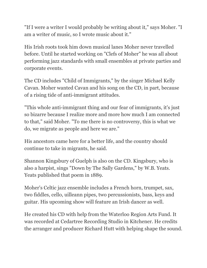"If I were a writer I would probably be writing about it," says Moher. "I am a writer of music, so I wrote music about it."

His Irish roots took him down musical lanes Moher never travelled before. Until he started working on "Clefs of Moher" he was all about performing jazz standards with small ensembles at private parties and corporate events.

The CD includes "Child of Immigrants," by the singer Michael Kelly Cavan. Moher wanted Cavan and his song on the CD, in part, because of a rising tide of anti-immigrant attitudes.

"This whole anti-immigrant thing and our fear of immigrants, it's just so bizarre because I realize more and more how much I am connected to that," said Moher. "To me there is no controversy, this is what we do, we migrate as people and here we are."

His ancestors came here for a better life, and the country should continue to take in migrants, he said.

Shannon Kingsbury of Guelph is also on the CD. Kingsbury, who is also a harpist, sings "Down by The Sally Gardens," by W.B. Yeats. Yeats published that poem in 1889.

Moher's Celtic jazz ensemble includes a French horn, trumpet, sax, two fiddles, cello, uilleann pipes, two percussionists, bass, keys and guitar. His upcoming show will feature an Irish dancer as well.

He created his CD with help from the [Waterloo Region Arts Fund](https://artsfund.ca/). It was recorded at Cedartree Recording Studio in Kitchener. He credits the arranger and producer Richard Hutt with helping shape the sound.